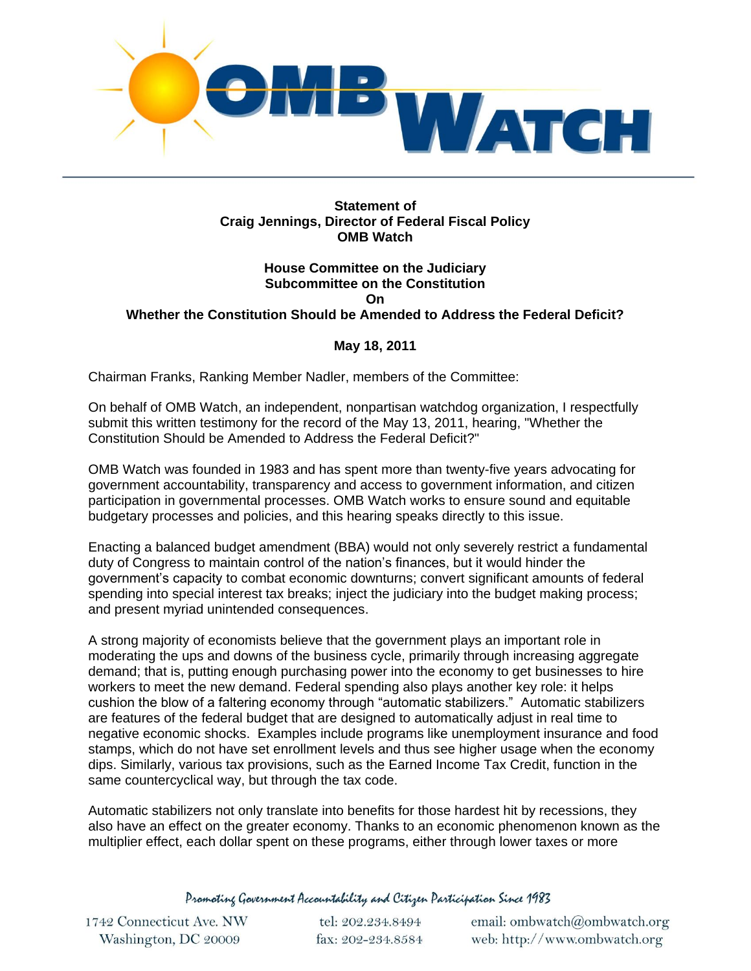

## **Statement of Craig Jennings, Director of Federal Fiscal Policy OMB Watch**

## **House Committee on the Judiciary Subcommittee on the Constitution On Whether the Constitution Should be Amended to Address the Federal Deficit?**

## **May 18, 2011**

Chairman Franks, Ranking Member Nadler, members of the Committee:

On behalf of OMB Watch, an independent, nonpartisan watchdog organization, I respectfully submit this written testimony for the record of the May 13, 2011, hearing, "Whether the Constitution Should be Amended to Address the Federal Deficit?"

OMB Watch was founded in 1983 and has spent more than twenty-five years advocating for government accountability, transparency and access to government information, and citizen participation in governmental processes. OMB Watch works to ensure sound and equitable budgetary processes and policies, and this hearing speaks directly to this issue.

Enacting a balanced budget amendment (BBA) would not only severely restrict a fundamental duty of Congress to maintain control of the nation's finances, but it would hinder the government's capacity to combat economic downturns; convert significant amounts of federal spending into special interest tax breaks; inject the judiciary into the budget making process; and present myriad unintended consequences.

A strong majority of economists believe that the government plays an important role in moderating the ups and downs of the business cycle, primarily through increasing aggregate demand; that is, putting enough purchasing power into the economy to get businesses to hire workers to meet the new demand. Federal spending also plays another key role: it helps cushion the blow of a faltering economy through "automatic stabilizers." Automatic stabilizers are features of the federal budget that are designed to automatically adjust in real time to negative economic shocks. Examples include programs like unemployment insurance and food stamps, which do not have set enrollment levels and thus see higher usage when the economy dips. Similarly, various tax provisions, such as the Earned Income Tax Credit, function in the same countercyclical way, but through the tax code.

Automatic stabilizers not only translate into benefits for those hardest hit by recessions, they also have an effect on the greater economy. Thanks to an economic phenomenon known as the multiplier effect, each dollar spent on these programs, either through lower taxes or more

Promoting Government Accountability and Citizen Participation Since 1983

1742 Connecticut Ave. NW Washington, DC 20009

tel: 202.234.8494 fax: 202-234.8584 email: ombwatch@ombwatch.org web: http://www.ombwatch.org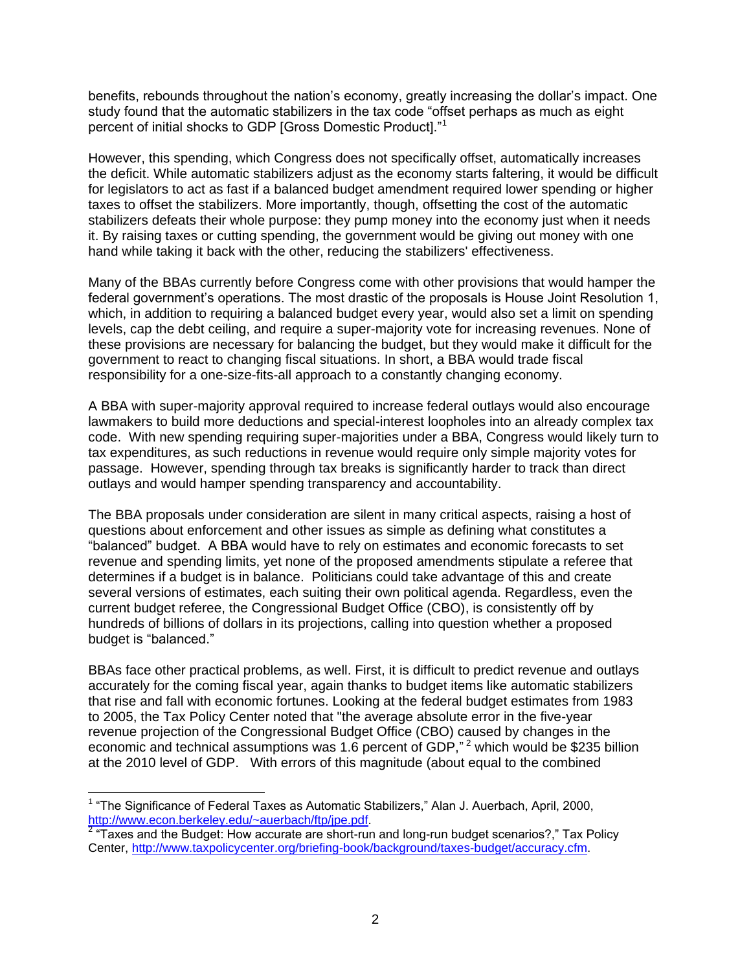benefits, rebounds throughout the nation's economy, greatly increasing the dollar's impact. One study found that the automatic stabilizers in the tax code "offset perhaps as much as eight percent of initial shocks to GDP [Gross Domestic Product]."<sup>1</sup>

However, this spending, which Congress does not specifically offset, automatically increases the deficit. While automatic stabilizers adjust as the economy starts faltering, it would be difficult for legislators to act as fast if a balanced budget amendment required lower spending or higher taxes to offset the stabilizers. More importantly, though, offsetting the cost of the automatic stabilizers defeats their whole purpose: they pump money into the economy just when it needs it. By raising taxes or cutting spending, the government would be giving out money with one hand while taking it back with the other, reducing the stabilizers' effectiveness.

Many of the BBAs currently before Congress come with other provisions that would hamper the federal government's operations. The most drastic of the proposals is House Joint Resolution 1, which, in addition to requiring a balanced budget every year, would also set a limit on spending levels, cap the debt ceiling, and require a super-majority vote for increasing revenues. None of these provisions are necessary for balancing the budget, but they would make it difficult for the government to react to changing fiscal situations. In short, a BBA would trade fiscal responsibility for a one-size-fits-all approach to a constantly changing economy.

A BBA with super-majority approval required to increase federal outlays would also encourage lawmakers to build more deductions and special-interest loopholes into an already complex tax code. With new spending requiring super-majorities under a BBA, Congress would likely turn to tax expenditures, as such reductions in revenue would require only simple majority votes for passage. However, spending through tax breaks is significantly harder to track than direct outlays and would hamper spending transparency and accountability.

The BBA proposals under consideration are silent in many critical aspects, raising a host of questions about enforcement and other issues as simple as defining what constitutes a "balanced" budget. A BBA would have to rely on estimates and economic forecasts to set revenue and spending limits, yet none of the proposed amendments stipulate a referee that determines if a budget is in balance. Politicians could take advantage of this and create several versions of estimates, each suiting their own political agenda. Regardless, even the current budget referee, the Congressional Budget Office (CBO), is consistently off by hundreds of billions of dollars in its projections, calling into question whether a proposed budget is "balanced."

BBAs face other practical problems, as well. First, it is difficult to predict revenue and outlays accurately for the coming fiscal year, again thanks to budget items like automatic stabilizers that rise and fall with economic fortunes. Looking at the federal budget estimates from 1983 to 2005, the Tax Policy Center noted that "the average absolute error in the five-year revenue projection of the Congressional Budget Office (CBO) caused by changes in the economic and technical assumptions was 1.6 percent of GDP,"<sup>2</sup> which would be \$235 billion at the 2010 level of GDP. With errors of this magnitude (about equal to the combined

 <sup>1</sup> "The Significance of Federal Taxes as Automatic Stabilizers," Alan J. Auerbach, April, 2000, [http://www.econ.berkeley.edu/~auerbach/ftp/jpe.pdf.](http://www.econ.berkeley.edu/~auerbach/ftp/jpe.pdf)

 $2$  "Taxes and the Budget: How accurate are short-run and long-run budget scenarios?," Tax Policy Center, [http://www.taxpolicycenter.org/briefing-book/background/taxes-budget/accuracy.cfm.](http://www.taxpolicycenter.org/briefing-book/background/taxes-budget/accuracy.cfm)